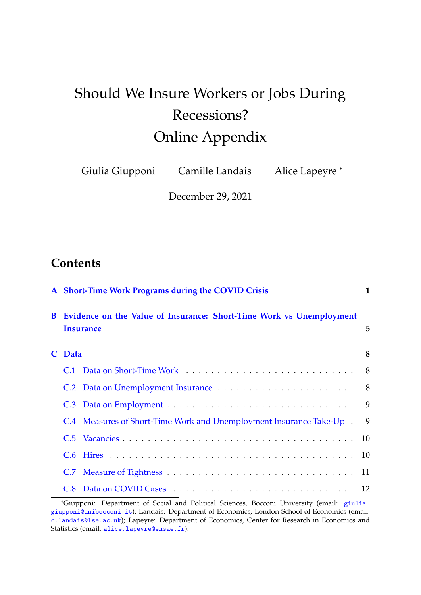# Should We Insure Workers or Jobs During Recessions? Online Appendix

Giulia Giupponi Camille Landais Alice Lapeyre \*

December 29, 2021

## **Contents**

|        | A Short-Time Work Programs during the COVID Crisis<br>B Evidence on the Value of Insurance: Short-Time Work vs Unemployment<br><b>Insurance</b> |  |  |  |
|--------|-------------------------------------------------------------------------------------------------------------------------------------------------|--|--|--|
|        |                                                                                                                                                 |  |  |  |
| C Data |                                                                                                                                                 |  |  |  |
|        |                                                                                                                                                 |  |  |  |
|        |                                                                                                                                                 |  |  |  |
|        |                                                                                                                                                 |  |  |  |
|        | C.4 Measures of Short-Time Work and Unemployment Insurance Take-Up . 9                                                                          |  |  |  |
|        |                                                                                                                                                 |  |  |  |
|        |                                                                                                                                                 |  |  |  |
|        |                                                                                                                                                 |  |  |  |
|        |                                                                                                                                                 |  |  |  |

<sup>\*</sup>Giupponi: Department of Social and Political Sciences, Bocconi University (email: [giulia.](giulia.giupponi@unibocconi.it) [giupponi@unibocconi.it](giulia.giupponi@unibocconi.it)); Landais: Department of Economics, London School of Economics (email: <c.landais@lse.ac.uk>); Lapeyre: Department of Economics, Center for Research in Economics and Statistics (email: <alice.lapeyre@ensae.fr>).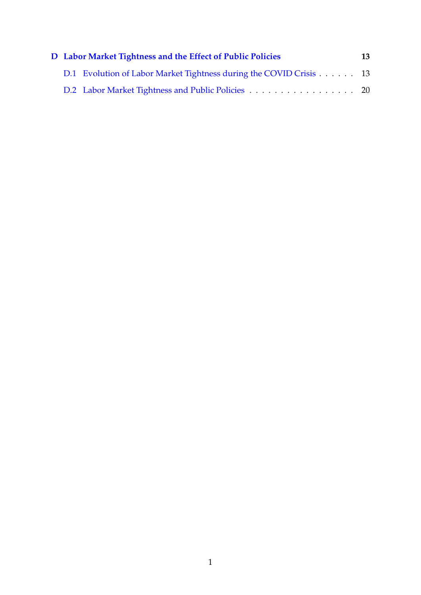| D Labor Market Tightness and the Effect of Public Policies |                                                                    |  |  |  |
|------------------------------------------------------------|--------------------------------------------------------------------|--|--|--|
|                                                            | D.1 Evolution of Labor Market Tightness during the COVID Crisis 13 |  |  |  |
|                                                            | D.2 Labor Market Tightness and Public Policies 20                  |  |  |  |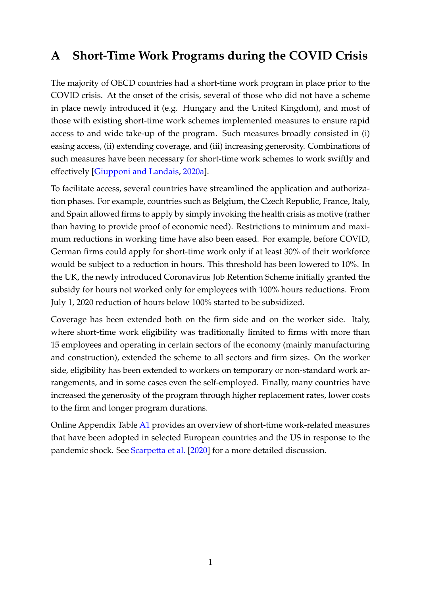## <span id="page-2-0"></span>**A Short-Time Work Programs during the COVID Crisis**

The majority of OECD countries had a short-time work program in place prior to the COVID crisis. At the onset of the crisis, several of those who did not have a scheme in place newly introduced it (e.g. Hungary and the United Kingdom), and most of those with existing short-time work schemes implemented measures to ensure rapid access to and wide take-up of the program. Such measures broadly consisted in (i) easing access, (ii) extending coverage, and (iii) increasing generosity. Combinations of such measures have been necessary for short-time work schemes to work swiftly and effectively [\[Giupponi and Landais,](#page-24-0) [2020a\]](#page-24-0).

To facilitate access, several countries have streamlined the application and authorization phases. For example, countries such as Belgium, the Czech Republic, France, Italy, and Spain allowed firms to apply by simply invoking the health crisis as motive (rather than having to provide proof of economic need). Restrictions to minimum and maximum reductions in working time have also been eased. For example, before COVID, German firms could apply for short-time work only if at least 30% of their workforce would be subject to a reduction in hours. This threshold has been lowered to 10%. In the UK, the newly introduced Coronavirus Job Retention Scheme initially granted the subsidy for hours not worked only for employees with 100% hours reductions. From July 1, 2020 reduction of hours below 100% started to be subsidized.

Coverage has been extended both on the firm side and on the worker side. Italy, where short-time work eligibility was traditionally limited to firms with more than 15 employees and operating in certain sectors of the economy (mainly manufacturing and construction), extended the scheme to all sectors and firm sizes. On the worker side, eligibility has been extended to workers on temporary or non-standard work arrangements, and in some cases even the self-employed. Finally, many countries have increased the generosity of the program through higher replacement rates, lower costs to the firm and longer program durations.

Online Appendix Table [A1](#page-3-0) provides an overview of short-time work-related measures that have been adopted in selected European countries and the US in response to the pandemic shock. See [Scarpetta et al.](#page-24-1) [\[2020\]](#page-24-1) for a more detailed discussion.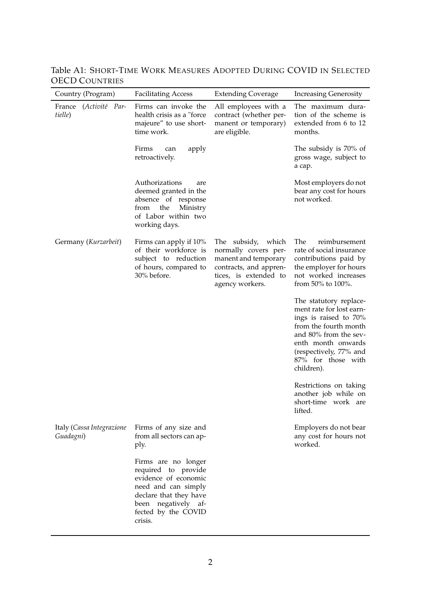| Country (Program)                      | <b>Facilitating Access</b>                                                                                                                                                   | <b>Extending Coverage</b>                                                                                                                | <b>Increasing Generosity</b>                                                                                                                                                                                      |  |
|----------------------------------------|------------------------------------------------------------------------------------------------------------------------------------------------------------------------------|------------------------------------------------------------------------------------------------------------------------------------------|-------------------------------------------------------------------------------------------------------------------------------------------------------------------------------------------------------------------|--|
| France (Activité Par-<br>tielle)       | Firms can invoke the<br>health crisis as a "force<br>majeure" to use short-<br>time work.                                                                                    | All employees with a<br>contract (whether per-<br>manent or temporary)<br>are eligible.                                                  | The maximum dura-<br>tion of the scheme is<br>extended from 6 to 12<br>months.                                                                                                                                    |  |
|                                        | Firms<br>apply<br>can<br>retroactively.                                                                                                                                      |                                                                                                                                          | The subsidy is 70% of<br>gross wage, subject to<br>a cap.                                                                                                                                                         |  |
|                                        | Authorizations<br>are<br>deemed granted in the<br>absence of response<br>the<br>Ministry<br>from<br>of Labor within two<br>working days.                                     |                                                                                                                                          | Most employers do not<br>bear any cost for hours<br>not worked.                                                                                                                                                   |  |
| Germany (Kurzarbeit)                   | Firms can apply if 10%<br>of their workforce is<br>subject to reduction<br>of hours, compared to<br>30% before.                                                              | The subsidy, which<br>normally covers per-<br>manent and temporary<br>contracts, and appren-<br>tices, is extended to<br>agency workers. | The<br>reimbursement<br>rate of social insurance<br>contributions paid by<br>the employer for hours<br>not worked increases<br>from 50% to 100%.                                                                  |  |
|                                        |                                                                                                                                                                              |                                                                                                                                          | The statutory replace-<br>ment rate for lost earn-<br>ings is raised to 70%<br>from the fourth month<br>and 80% from the sev-<br>enth month onwards<br>(respectively, 77% and<br>87% for those with<br>children). |  |
|                                        |                                                                                                                                                                              |                                                                                                                                          | Restrictions on taking<br>another job while on<br>short-time work are<br>lifted.                                                                                                                                  |  |
| Italy (Cassa Integrazione<br>Guadagni) | Firms of any size and<br>from all sectors can ap-<br>ply.                                                                                                                    |                                                                                                                                          | Employers do not bear<br>any cost for hours not<br>worked.                                                                                                                                                        |  |
|                                        | Firms are no longer<br>required to provide<br>evidence of economic<br>need and can simply<br>declare that they have<br>been negatively af-<br>fected by the COVID<br>crisis. |                                                                                                                                          |                                                                                                                                                                                                                   |  |

<span id="page-3-0"></span>Table A1: SHORT-TIME WORK MEASURES ADOPTED DURING COVID IN SELECTED OECD COUNTRIES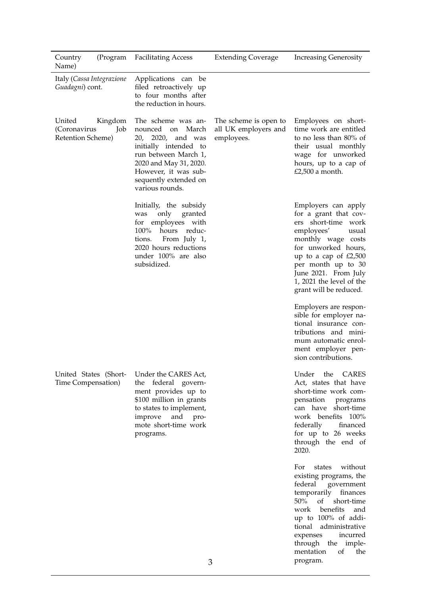| Country<br>Name)                             | (Program       | <b>Facilitating Access</b>                                                                                                                                                                                             | <b>Extending Coverage</b>                                   | <b>Increasing Generosity</b>                                                                                                                                                                                                                                              |
|----------------------------------------------|----------------|------------------------------------------------------------------------------------------------------------------------------------------------------------------------------------------------------------------------|-------------------------------------------------------------|---------------------------------------------------------------------------------------------------------------------------------------------------------------------------------------------------------------------------------------------------------------------------|
| Italy (Cassa Integrazione<br>Guadagni) cont. |                | Applications can be<br>filed retroactively up<br>to four months after<br>the reduction in hours.                                                                                                                       |                                                             |                                                                                                                                                                                                                                                                           |
| United<br>(Coronavirus<br>Retention Scheme)  | Kingdom<br>Job | The scheme was an-<br>nounced<br>March<br>on<br>20,<br>2020,<br>and was<br>initially intended to<br>run between March 1,<br>2020 and May 31, 2020.<br>However, it was sub-<br>sequently extended on<br>various rounds. | The scheme is open to<br>all UK employers and<br>employees. | Employees on short-<br>time work are entitled<br>to no less than 80% of<br>their usual monthly<br>wage for unworked<br>hours, up to a cap of<br>£2,500 a month.                                                                                                           |
|                                              |                | Initially, the subsidy<br>only<br>granted<br>was<br>for employees with<br>100%<br>hours<br>reduc-<br>From July 1,<br>tions.<br>2020 hours reductions<br>under 100% are also<br>subsidized.                             |                                                             | Employers can apply<br>for a grant that cov-<br>ers short-time<br>work<br>employees'<br>usual<br>monthly wage costs<br>for unworked hours,<br>up to a cap of $£2,500$<br>per month up to 30<br>June 2021. From July<br>1, 2021 the level of the<br>grant will be reduced. |
|                                              |                |                                                                                                                                                                                                                        |                                                             | Employers are respon-<br>sible for employer na-<br>tional insurance con-<br>tributions and mini-<br>mum automatic enrol-<br>ment employer pen-<br>sion contributions.                                                                                                     |
| United States (Short-<br>Time Compensation)  |                | Under the CARES Act,<br>the federal govern-<br>ment provides up to<br>\$100 million in grants<br>to states to implement,<br>improve and pro-<br>mote short-time work<br>programs.                                      |                                                             | Under<br>the CARES<br>Act, states that have<br>short-time work com-<br>pensation<br>programs<br>can have short-time<br>work benefits 100%<br>federally<br>financed<br>for up to 26 weeks<br>through the end of<br>2020.                                                   |
|                                              |                |                                                                                                                                                                                                                        |                                                             | states without<br>For<br>existing programs, the<br>federal government<br>temporarily finances<br>50% of<br>short-time<br>work benefits<br>and<br>up to 100% of addi-<br>tional administrative<br>incurred<br>expenses                                                     |

through the implementation of the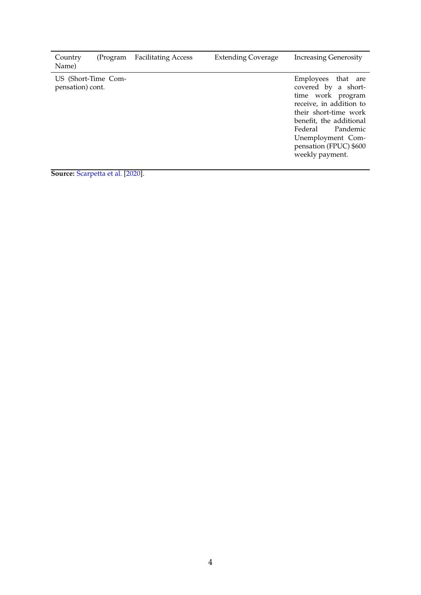| Country<br>Name) | (Program            | <b>Facilitating Access</b> | <b>Extending Coverage</b> | <b>Increasing Generosity</b>                                                                                                                                                                                                              |
|------------------|---------------------|----------------------------|---------------------------|-------------------------------------------------------------------------------------------------------------------------------------------------------------------------------------------------------------------------------------------|
| pensation) cont. | US (Short-Time Com- |                            |                           | Employees<br>that are<br>covered by a short-<br>time work program<br>receive, in addition to<br>their short-time work<br>benefit, the additional<br>Pandemic<br>Federal<br>Unemployment Com-<br>pensation (FPUC) \$600<br>weekly payment. |

**Source:** [Scarpetta et al.](#page-24-1) [\[2020\]](#page-24-1).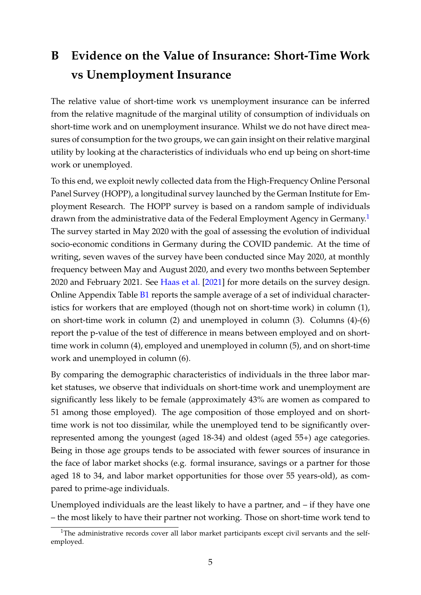## <span id="page-6-0"></span>**B Evidence on the Value of Insurance: Short-Time Work vs Unemployment Insurance**

The relative value of short-time work vs unemployment insurance can be inferred from the relative magnitude of the marginal utility of consumption of individuals on short-time work and on unemployment insurance. Whilst we do not have direct measures of consumption for the two groups, we can gain insight on their relative marginal utility by looking at the characteristics of individuals who end up being on short-time work or unemployed.

To this end, we exploit newly collected data from the High-Frequency Online Personal Panel Survey (HOPP), a longitudinal survey launched by the German Institute for Employment Research. The HOPP survey is based on a random sample of individuals drawn from the administrative data of the Federal Employment Agency in Germany.<sup>[1](#page-6-1)</sup> The survey started in May 2020 with the goal of assessing the evolution of individual socio-economic conditions in Germany during the COVID pandemic. At the time of writing, seven waves of the survey have been conducted since May 2020, at monthly frequency between May and August 2020, and every two months between September 2020 and February 2021. See [Haas et al.](#page-24-2) [\[2021\]](#page-24-2) for more details on the survey design. Online Appendix Table [B1](#page-8-0) reports the sample average of a set of individual characteristics for workers that are employed (though not on short-time work) in column (1), on short-time work in column (2) and unemployed in column (3). Columns (4)-(6) report the p-value of the test of difference in means between employed and on shorttime work in column (4), employed and unemployed in column (5), and on short-time work and unemployed in column (6).

By comparing the demographic characteristics of individuals in the three labor market statuses, we observe that individuals on short-time work and unemployment are significantly less likely to be female (approximately 43% are women as compared to 51 among those employed). The age composition of those employed and on shorttime work is not too dissimilar, while the unemployed tend to be significantly overrepresented among the youngest (aged 18-34) and oldest (aged 55+) age categories. Being in those age groups tends to be associated with fewer sources of insurance in the face of labor market shocks (e.g. formal insurance, savings or a partner for those aged 18 to 34, and labor market opportunities for those over 55 years-old), as compared to prime-age individuals.

Unemployed individuals are the least likely to have a partner, and – if they have one – the most likely to have their partner not working. Those on short-time work tend to

<span id="page-6-1"></span> $1$ The administrative records cover all labor market participants except civil servants and the selfemployed.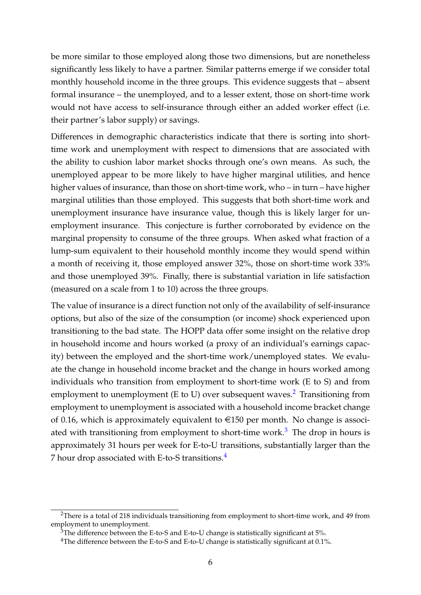be more similar to those employed along those two dimensions, but are nonetheless significantly less likely to have a partner. Similar patterns emerge if we consider total monthly household income in the three groups. This evidence suggests that – absent formal insurance – the unemployed, and to a lesser extent, those on short-time work would not have access to self-insurance through either an added worker effect (i.e. their partner's labor supply) or savings.

Differences in demographic characteristics indicate that there is sorting into shorttime work and unemployment with respect to dimensions that are associated with the ability to cushion labor market shocks through one's own means. As such, the unemployed appear to be more likely to have higher marginal utilities, and hence higher values of insurance, than those on short-time work, who – in turn – have higher marginal utilities than those employed. This suggests that both short-time work and unemployment insurance have insurance value, though this is likely larger for unemployment insurance. This conjecture is further corroborated by evidence on the marginal propensity to consume of the three groups. When asked what fraction of a lump-sum equivalent to their household monthly income they would spend within a month of receiving it, those employed answer 32%, those on short-time work 33% and those unemployed 39%. Finally, there is substantial variation in life satisfaction (measured on a scale from 1 to 10) across the three groups.

The value of insurance is a direct function not only of the availability of self-insurance options, but also of the size of the consumption (or income) shock experienced upon transitioning to the bad state. The HOPP data offer some insight on the relative drop in household income and hours worked (a proxy of an individual's earnings capacity) between the employed and the short-time work/unemployed states. We evaluate the change in household income bracket and the change in hours worked among individuals who transition from employment to short-time work (E to S) and from employment to unemployment (E to U) over subsequent waves.<sup>[2](#page-7-0)</sup> Transitioning from employment to unemployment is associated with a household income bracket change of 0.16, which is approximately equivalent to  $\epsilon$ 150 per month. No change is associ-ated with transitioning from employment to short-time work.<sup>[3](#page-7-1)</sup> The drop in hours is approximately 31 hours per week for E-to-U transitions, substantially larger than the 7 hour drop associated with E-to-S transitions.<sup>[4](#page-7-2)</sup>

<span id="page-7-0"></span><sup>&</sup>lt;sup>2</sup>There is a total of 218 individuals transitioning from employment to short-time work, and 49 from employment to unemployment.

<span id="page-7-1"></span> $3$ The difference between the E-to-S and E-to-U change is statistically significant at 5%.

<span id="page-7-2"></span><sup>&</sup>lt;sup>4</sup>The difference between the E-to-S and E-to-U change is statistically significant at 0.1%.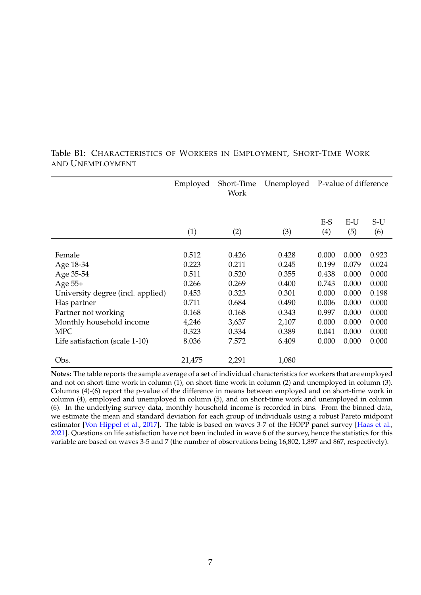|                                   | Employed | Short-Time<br>Work | Unemployed | P-value of difference |              |              |
|-----------------------------------|----------|--------------------|------------|-----------------------|--------------|--------------|
|                                   | (1)      | (2)                | (3)        | $E-S$<br>(4)          | $E-U$<br>(5) | $S-U$<br>(6) |
|                                   |          |                    |            |                       |              |              |
| Female                            | 0.512    | 0.426              | 0.428      | 0.000                 | 0.000        | 0.923        |
| Age 18-34                         | 0.223    | 0.211              | 0.245      | 0.199                 | 0.079        | 0.024        |
| Age 35-54                         | 0.511    | 0.520              | 0.355      | 0.438                 | 0.000        | 0.000        |
| Age 55+                           | 0.266    | 0.269              | 0.400      | 0.743                 | 0.000        | 0.000        |
| University degree (incl. applied) | 0.453    | 0.323              | 0.301      | 0.000                 | 0.000        | 0.198        |
| Has partner                       | 0.711    | 0.684              | 0.490      | 0.006                 | 0.000        | 0.000        |
| Partner not working               | 0.168    | 0.168              | 0.343      | 0.997                 | 0.000        | 0.000        |
| Monthly household income          | 4,246    | 3,637              | 2,107      | 0.000                 | 0.000        | 0.000        |
| <b>MPC</b>                        | 0.323    | 0.334              | 0.389      | 0.041                 | 0.000        | 0.000        |
| Life satisfaction (scale 1-10)    | 8.036    | 7.572              | 6.409      | 0.000                 | 0.000        | 0.000        |
| Obs.                              | 21,475   | 2,291              | 1,080      |                       |              |              |

#### <span id="page-8-0"></span>Table B1: CHARACTERISTICS OF WORKERS IN EMPLOYMENT, SHORT-TIME WORK AND UNEMPLOYMENT

**Notes:** The table reports the sample average of a set of individual characteristics for workers that are employed and not on short-time work in column (1), on short-time work in column (2) and unemployed in column (3). Columns (4)-(6) report the p-value of the difference in means between employed and on short-time work in column (4), employed and unemployed in column (5), and on short-time work and unemployed in column (6). In the underlying survey data, monthly household income is recorded in bins. From the binned data, we estimate the mean and standard deviation for each group of individuals using a robust Pareto midpoint estimator [\[Von Hippel et al.,](#page-24-3) [2017\]](#page-24-3). The table is based on waves 3-7 of the HOPP panel survey [\[Haas et al.,](#page-24-2) [2021\]](#page-24-2). Questions on life satisfaction have not been included in wave 6 of the survey, hence the statistics for this variable are based on waves 3-5 and 7 (the number of observations being 16,802, 1,897 and 867, respectively).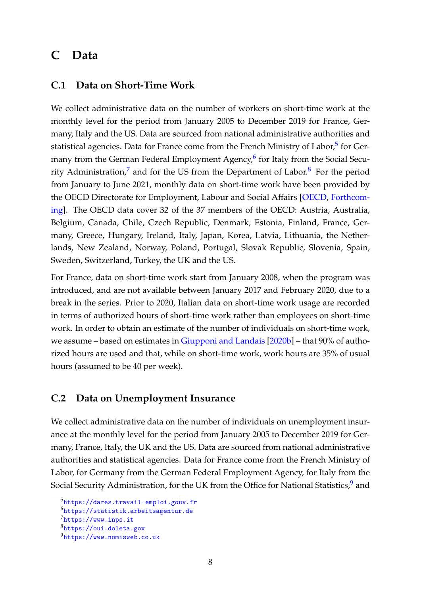### <span id="page-9-0"></span>**C Data**

#### <span id="page-9-1"></span>**C.1 Data on Short-Time Work**

We collect administrative data on the number of workers on short-time work at the monthly level for the period from January 2005 to December 2019 for France, Germany, Italy and the US. Data are sourced from national administrative authorities and statistical agencies. Data for France come from the French Ministry of Labor,<sup>[5](#page-9-3)</sup> for Ger-many from the German Federal Employment Agency,<sup>[6](#page-9-4)</sup> for Italy from the Social Secu-rity Administration,<sup>[7](#page-9-5)</sup> and for the US from the Department of Labor.<sup>[8](#page-9-6)</sup> For the period from January to June 2021, monthly data on short-time work have been provided by the OECD Directorate for Employment, Labour and Social Affairs [\[OECD,](#page-24-4) [Forthcom](#page-24-4)[ing\]](#page-24-4). The OECD data cover 32 of the 37 members of the OECD: Austria, Australia, Belgium, Canada, Chile, Czech Republic, Denmark, Estonia, Finland, France, Germany, Greece, Hungary, Ireland, Italy, Japan, Korea, Latvia, Lithuania, the Netherlands, New Zealand, Norway, Poland, Portugal, Slovak Republic, Slovenia, Spain, Sweden, Switzerland, Turkey, the UK and the US.

For France, data on short-time work start from January 2008, when the program was introduced, and are not available between January 2017 and February 2020, due to a break in the series. Prior to 2020, Italian data on short-time work usage are recorded in terms of authorized hours of short-time work rather than employees on short-time work. In order to obtain an estimate of the number of individuals on short-time work, we assume – based on estimates in [Giupponi and Landais](#page-24-5) [\[2020b\]](#page-24-5) – that 90% of authorized hours are used and that, while on short-time work, work hours are 35% of usual hours (assumed to be 40 per week).

#### <span id="page-9-2"></span>**C.2 Data on Unemployment Insurance**

We collect administrative data on the number of individuals on unemployment insurance at the monthly level for the period from January 2005 to December 2019 for Germany, France, Italy, the UK and the US. Data are sourced from national administrative authorities and statistical agencies. Data for France come from the French Ministry of Labor, for Germany from the German Federal Employment Agency, for Italy from the Social Security Administration, for the UK from the Office for National Statistics,<sup>[9](#page-9-7)</sup> and

<span id="page-9-3"></span><sup>5</sup><https://dares.travail-emploi.gouv.fr>

<span id="page-9-4"></span><sup>6</sup><https://statistik.arbeitsagentur.de>

<span id="page-9-5"></span><sup>7</sup><https://www.inps.it>

<span id="page-9-6"></span><sup>8</sup><https://oui.doleta.gov>

<span id="page-9-7"></span><sup>9</sup><https://www.nomisweb.co.uk>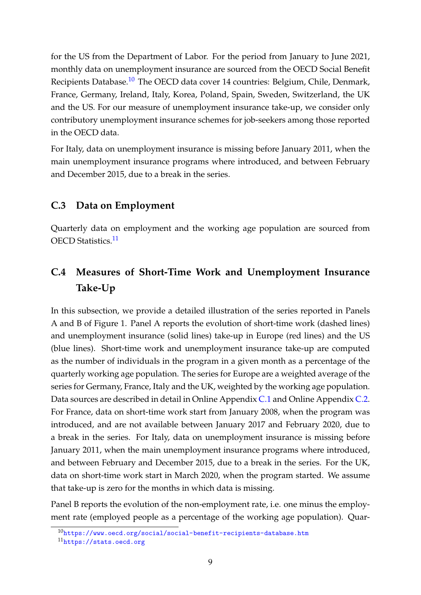for the US from the Department of Labor. For the period from January to June 2021, monthly data on unemployment insurance are sourced from the OECD Social Benefit Recipients Database.<sup>[10](#page-10-2)</sup> The OECD data cover 14 countries: Belgium, Chile, Denmark, France, Germany, Ireland, Italy, Korea, Poland, Spain, Sweden, Switzerland, the UK and the US. For our measure of unemployment insurance take-up, we consider only contributory unemployment insurance schemes for job-seekers among those reported in the OECD data.

For Italy, data on unemployment insurance is missing before January 2011, when the main unemployment insurance programs where introduced, and between February and December 2015, due to a break in the series.

#### <span id="page-10-0"></span>**C.3 Data on Employment**

Quarterly data on employment and the working age population are sourced from OECD Statistics.<sup>[11](#page-10-3)</sup>

## <span id="page-10-1"></span>**C.4 Measures of Short-Time Work and Unemployment Insurance Take-Up**

In this subsection, we provide a detailed illustration of the series reported in Panels A and B of Figure 1. Panel A reports the evolution of short-time work (dashed lines) and unemployment insurance (solid lines) take-up in Europe (red lines) and the US (blue lines). Short-time work and unemployment insurance take-up are computed as the number of individuals in the program in a given month as a percentage of the quarterly working age population. The series for Europe are a weighted average of the series for Germany, France, Italy and the UK, weighted by the working age population. Data sources are described in detail in Online Appendix [C.1](#page-9-1) and Online Appendix [C.2.](#page-9-2) For France, data on short-time work start from January 2008, when the program was introduced, and are not available between January 2017 and February 2020, due to a break in the series. For Italy, data on unemployment insurance is missing before January 2011, when the main unemployment insurance programs where introduced, and between February and December 2015, due to a break in the series. For the UK, data on short-time work start in March 2020, when the program started. We assume that take-up is zero for the months in which data is missing.

Panel B reports the evolution of the non-employment rate, i.e. one minus the employment rate (employed people as a percentage of the working age population). Quar-

<span id="page-10-2"></span> $10$ <https://www.oecd.org/social/social-benefit-recipients-database.htm>

<span id="page-10-3"></span><sup>11</sup><https://stats.oecd.org>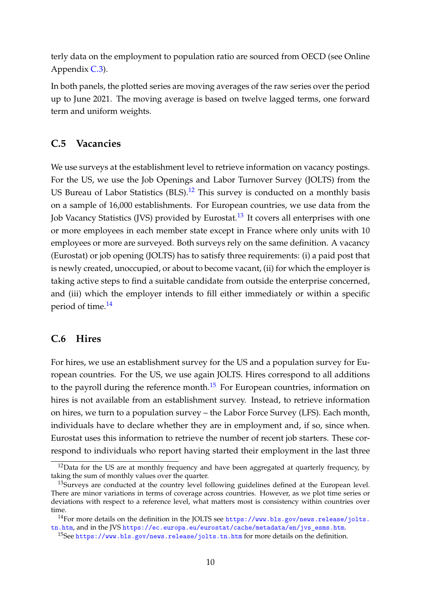terly data on the employment to population ratio are sourced from OECD (see Online Appendix [C.3\)](#page-10-0).

In both panels, the plotted series are moving averages of the raw series over the period up to June 2021. The moving average is based on twelve lagged terms, one forward term and uniform weights.

#### <span id="page-11-0"></span>**C.5 Vacancies**

We use surveys at the establishment level to retrieve information on vacancy postings. For the US, we use the Job Openings and Labor Turnover Survey (JOLTS) from the US Bureau of Labor Statistics  $(BLS)$ .<sup>[12](#page-11-2)</sup> This survey is conducted on a monthly basis on a sample of 16,000 establishments. For European countries, we use data from the Job Vacancy Statistics (JVS) provided by Eurostat.<sup>[13](#page-11-3)</sup> It covers all enterprises with one or more employees in each member state except in France where only units with 10 employees or more are surveyed. Both surveys rely on the same definition. A vacancy (Eurostat) or job opening (JOLTS) has to satisfy three requirements: (i) a paid post that is newly created, unoccupied, or about to become vacant, (ii) for which the employer is taking active steps to find a suitable candidate from outside the enterprise concerned, and (iii) which the employer intends to fill either immediately or within a specific period of time.[14](#page-11-4)

#### <span id="page-11-1"></span>**C.6 Hires**

For hires, we use an establishment survey for the US and a population survey for European countries. For the US, we use again JOLTS. Hires correspond to all additions to the payroll during the reference month.<sup>[15](#page-11-5)</sup> For European countries, information on hires is not available from an establishment survey. Instead, to retrieve information on hires, we turn to a population survey – the Labor Force Survey (LFS). Each month, individuals have to declare whether they are in employment and, if so, since when. Eurostat uses this information to retrieve the number of recent job starters. These correspond to individuals who report having started their employment in the last three

<span id="page-11-2"></span> $12$ Data for the US are at monthly frequency and have been aggregated at quarterly frequency, by taking the sum of monthly values over the quarter.

<span id="page-11-3"></span><sup>&</sup>lt;sup>13</sup>Surveys are conducted at the country level following guidelines defined at the European level. There are minor variations in terms of coverage across countries. However, as we plot time series or deviations with respect to a reference level, what matters most is consistency within countries over time.

<span id="page-11-4"></span><sup>&</sup>lt;sup>14</sup>For more details on the definition in the JOLTS see [https://www.bls.gov/news.release/jolts.](https://www.bls.gov/news.release/jolts.tn.htm) [tn.htm](https://www.bls.gov/news.release/jolts.tn.htm), and in the JVS [https://ec.europa.eu/eurostat/cache/metadata/en/jvs\\_esms.htm](https://ec.europa.eu/eurostat/cache/metadata/en/jvs_esms.htm).

<span id="page-11-5"></span><sup>&</sup>lt;sup>15</sup>See <https://www.bls.gov/news.release/jolts.tn.htm> for more details on the definition.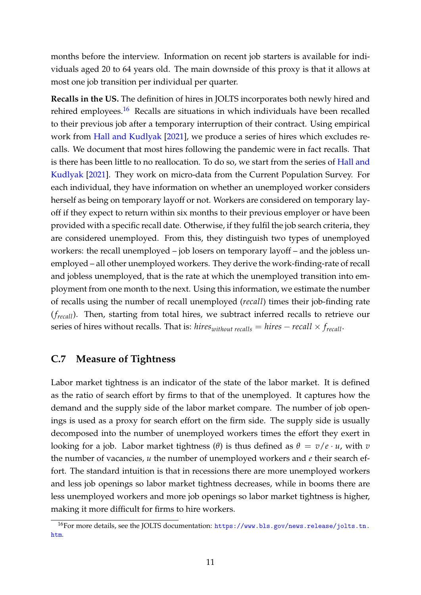months before the interview. Information on recent job starters is available for individuals aged 20 to 64 years old. The main downside of this proxy is that it allows at most one job transition per individual per quarter.

**Recalls in the US.** The definition of hires in JOLTS incorporates both newly hired and rehired employees.<sup>[16](#page-12-1)</sup> Recalls are situations in which individuals have been recalled to their previous job after a temporary interruption of their contract. Using empirical work from [Hall and Kudlyak](#page-24-6) [\[2021\]](#page-24-6), we produce a series of hires which excludes recalls. We document that most hires following the pandemic were in fact recalls. That is there has been little to no reallocation. To do so, we start from the series of [Hall and](#page-24-6) [Kudlyak](#page-24-6) [\[2021\]](#page-24-6). They work on micro-data from the Current Population Survey. For each individual, they have information on whether an unemployed worker considers herself as being on temporary layoff or not. Workers are considered on temporary layoff if they expect to return within six months to their previous employer or have been provided with a specific recall date. Otherwise, if they fulfil the job search criteria, they are considered unemployed. From this, they distinguish two types of unemployed workers: the recall unemployed – job losers on temporary layoff – and the jobless unemployed – all other unemployed workers. They derive the work-finding-rate of recall and jobless unemployed, that is the rate at which the unemployed transition into employment from one month to the next. Using this information, we estimate the number of recalls using the number of recall unemployed (*recall*) times their job-finding rate (*frecall*). Then, starting from total hires, we subtract inferred recalls to retrieve our series of hires without recalls. That is: *hires*<sub>*without recalls* = *hires* – *recall*  $\times$  *f*<sub>*recall*</sub>.</sub>

#### <span id="page-12-0"></span>**C.7 Measure of Tightness**

Labor market tightness is an indicator of the state of the labor market. It is defined as the ratio of search effort by firms to that of the unemployed. It captures how the demand and the supply side of the labor market compare. The number of job openings is used as a proxy for search effort on the firm side. The supply side is usually decomposed into the number of unemployed workers times the effort they exert in looking for a job. Labor market tightness (θ) is thus defined as  $θ = v/e · u$ , with *v* the number of vacancies, *u* the number of unemployed workers and *e* their search effort. The standard intuition is that in recessions there are more unemployed workers and less job openings so labor market tightness decreases, while in booms there are less unemployed workers and more job openings so labor market tightness is higher, making it more difficult for firms to hire workers.

<span id="page-12-1"></span><sup>16</sup>For more details, see the JOLTS documentation: [https://www.bls.gov/news.release/jolts.tn.](https://www.bls.gov/news.release/jolts.tn.htm) [htm](https://www.bls.gov/news.release/jolts.tn.htm).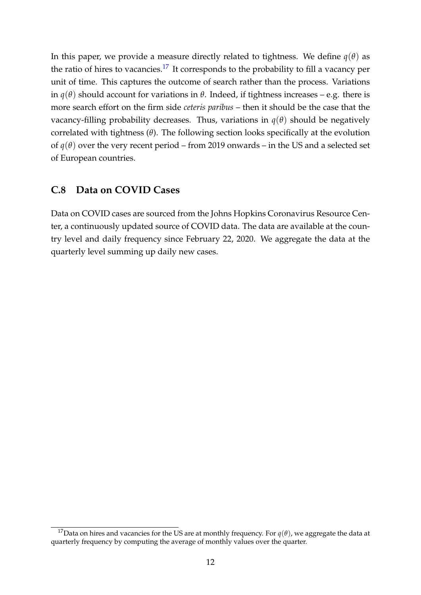In this paper, we provide a measure directly related to tightness. We define  $q(\theta)$  as the ratio of hires to vacancies.<sup>[17](#page-13-1)</sup> It corresponds to the probability to fill a vacancy per unit of time. This captures the outcome of search rather than the process. Variations in *q*(*θ*) should account for variations in *θ*. Indeed, if tightness increases – e.g. there is more search effort on the firm side *ceteris paribus* – then it should be the case that the vacancy-filling probability decreases. Thus, variations in  $q(\theta)$  should be negatively correlated with tightness (*θ*). The following section looks specifically at the evolution of  $q(\theta)$  over the very recent period – from 2019 onwards – in the US and a selected set of European countries.

#### <span id="page-13-0"></span>**C.8 Data on COVID Cases**

Data on COVID cases are sourced from the Johns Hopkins Coronavirus Resource Center, a continuously updated source of COVID data. The data are available at the country level and daily frequency since February 22, 2020. We aggregate the data at the quarterly level summing up daily new cases.

<span id="page-13-1"></span><sup>&</sup>lt;sup>17</sup>Data on hires and vacancies for the US are at monthly frequency. For  $q(\theta)$ , we aggregate the data at quarterly frequency by computing the average of monthly values over the quarter.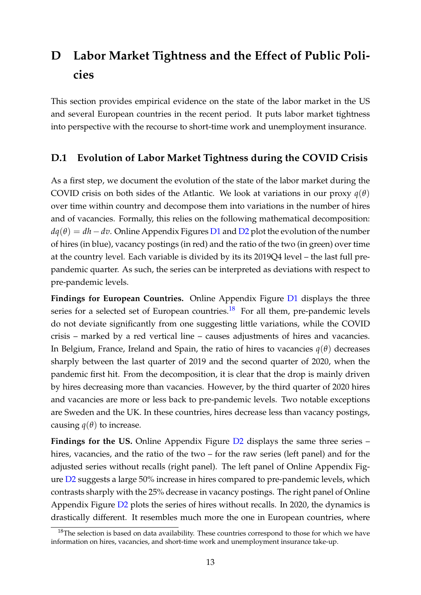## <span id="page-14-0"></span>**D Labor Market Tightness and the Effect of Public Policies**

This section provides empirical evidence on the state of the labor market in the US and several European countries in the recent period. It puts labor market tightness into perspective with the recourse to short-time work and unemployment insurance.

#### <span id="page-14-1"></span>**D.1 Evolution of Labor Market Tightness during the COVID Crisis**

As a first step, we document the evolution of the state of the labor market during the COVID crisis on both sides of the Atlantic. We look at variations in our proxy  $q(\theta)$ over time within country and decompose them into variations in the number of hires and of vacancies. Formally, this relies on the following mathematical decomposition:  $dq(\theta) = dh - dv$ . Online Appendix Figures [D1](#page-16-0) and [D2](#page-17-0) plot the evolution of the number of hires (in blue), vacancy postings (in red) and the ratio of the two (in green) over time at the country level. Each variable is divided by its its 2019Q4 level – the last full prepandemic quarter. As such, the series can be interpreted as deviations with respect to pre-pandemic levels.

**Findings for European Countries.** Online Appendix Figure [D1](#page-16-0) displays the three series for a selected set of European countries.<sup>[18](#page-14-2)</sup> For all them, pre-pandemic levels do not deviate significantly from one suggesting little variations, while the COVID crisis – marked by a red vertical line – causes adjustments of hires and vacancies. In Belgium, France, Ireland and Spain, the ratio of hires to vacancies *q*(*θ*) decreases sharply between the last quarter of 2019 and the second quarter of 2020, when the pandemic first hit. From the decomposition, it is clear that the drop is mainly driven by hires decreasing more than vacancies. However, by the third quarter of 2020 hires and vacancies are more or less back to pre-pandemic levels. Two notable exceptions are Sweden and the UK. In these countries, hires decrease less than vacancy postings, causing  $q(\theta)$  to increase.

**Findings for the US.** Online Appendix Figure [D2](#page-17-0) displays the same three series – hires, vacancies, and the ratio of the two – for the raw series (left panel) and for the adjusted series without recalls (right panel). The left panel of Online Appendix Figure [D2](#page-17-0) suggests a large 50% increase in hires compared to pre-pandemic levels, which contrasts sharply with the 25% decrease in vacancy postings. The right panel of Online Appendix Figure [D2](#page-17-0) plots the series of hires without recalls. In 2020, the dynamics is drastically different. It resembles much more the one in European countries, where

<span id="page-14-2"></span> $18$ The selection is based on data availability. These countries correspond to those for which we have information on hires, vacancies, and short-time work and unemployment insurance take-up.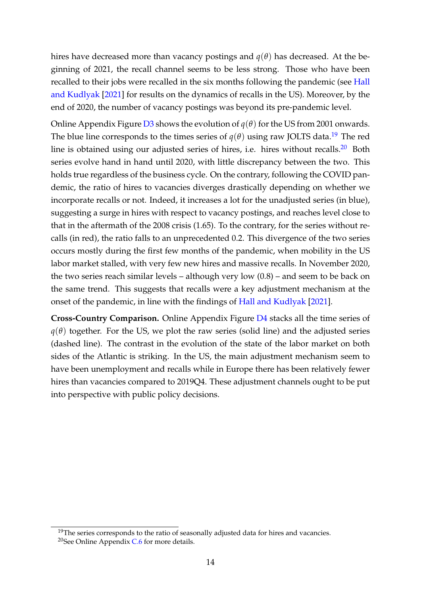hires have decreased more than vacancy postings and  $q(\theta)$  has decreased. At the beginning of 2021, the recall channel seems to be less strong. Those who have been recalled to their jobs were recalled in the six months following the pandemic (see [Hall](#page-24-6) [and Kudlyak](#page-24-6) [\[2021\]](#page-24-6) for results on the dynamics of recalls in the US). Moreover, by the end of 2020, the number of vacancy postings was beyond its pre-pandemic level.

Online Appendix Figure [D3](#page-18-0) shows the evolution of  $q(\theta)$  for the US from 2001 onwards. The blue line corresponds to the times series of  $q(\theta)$  using raw JOLTS data.<sup>[19](#page-15-0)</sup> The red line is obtained using our adjusted series of hires, i.e. hires without recalls.<sup>[20](#page-15-1)</sup> Both series evolve hand in hand until 2020, with little discrepancy between the two. This holds true regardless of the business cycle. On the contrary, following the COVID pandemic, the ratio of hires to vacancies diverges drastically depending on whether we incorporate recalls or not. Indeed, it increases a lot for the unadjusted series (in blue), suggesting a surge in hires with respect to vacancy postings, and reaches level close to that in the aftermath of the 2008 crisis (1.65). To the contrary, for the series without recalls (in red), the ratio falls to an unprecedented 0.2. This divergence of the two series occurs mostly during the first few months of the pandemic, when mobility in the US labor market stalled, with very few new hires and massive recalls. In November 2020, the two series reach similar levels – although very low (0.8) – and seem to be back on the same trend. This suggests that recalls were a key adjustment mechanism at the onset of the pandemic, in line with the findings of [Hall and Kudlyak](#page-24-6) [\[2021\]](#page-24-6).

**Cross-Country Comparison.** Online Appendix Figure [D4](#page-19-0) stacks all the time series of  $q(\theta)$  together. For the US, we plot the raw series (solid line) and the adjusted series (dashed line). The contrast in the evolution of the state of the labor market on both sides of the Atlantic is striking. In the US, the main adjustment mechanism seem to have been unemployment and recalls while in Europe there has been relatively fewer hires than vacancies compared to 2019Q4. These adjustment channels ought to be put into perspective with public policy decisions.

<span id="page-15-1"></span><span id="page-15-0"></span><sup>&</sup>lt;sup>19</sup>The series corresponds to the ratio of seasonally adjusted data for hires and vacancies. <sup>20</sup>See Online Appendix [C.6](#page-11-1) for more details.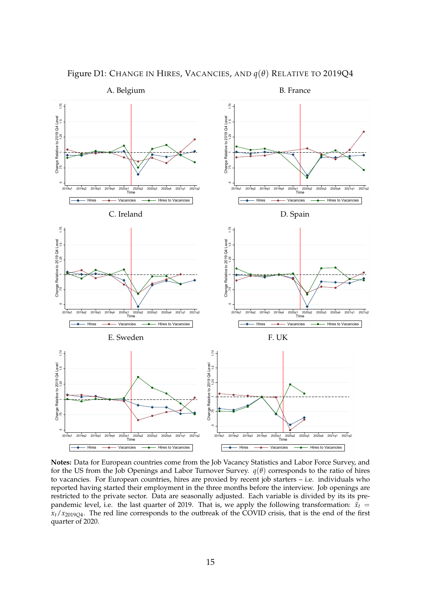

<span id="page-16-0"></span>Figure D1: CHANGE IN HIRES, VACANCIES, AND *q*(*θ*) RELATIVE TO 2019Q4

**Notes:** Data for European countries come from the Job Vacancy Statistics and Labor Force Survey, and for the US from the Job Openings and Labor Turnover Survey.  $q(\theta)$  corresponds to the ratio of hires to vacancies. For European countries, hires are proxied by recent job starters – i.e. individuals who reported having started their employment in the three months before the interview. Job openings are restricted to the private sector. Data are seasonally adjusted. Each variable is divided by its its prepandemic level, i.e. the last quarter of 2019. That is, we apply the following transformation:  $\tilde{x_t}$  = *xt*/*x*2019*Q*<sup>4</sup> . The red line corresponds to the outbreak of the COVID crisis, that is the end of the first quarter of 2020.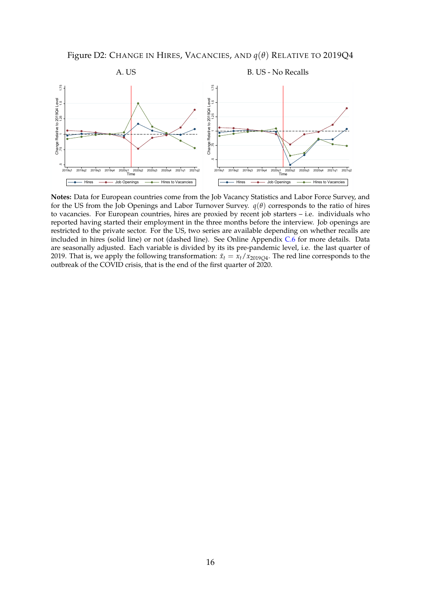Figure D2: CHANGE IN HIRES, VACANCIES, AND *q*(*θ*) RELATIVE TO 2019Q4

<span id="page-17-0"></span>

**Notes:** Data for European countries come from the Job Vacancy Statistics and Labor Force Survey, and for the US from the Job Openings and Labor Turnover Survey.  $q(\theta)$  corresponds to the ratio of hires to vacancies. For European countries, hires are proxied by recent job starters – i.e. individuals who reported having started their employment in the three months before the interview. Job openings are restricted to the private sector. For the US, two series are available depending on whether recalls are included in hires (solid line) or not (dashed line). See Online Appendix [C.6](#page-11-1) for more details. Data are seasonally adjusted. Each variable is divided by its its pre-pandemic level, i.e. the last quarter of 2019. That is, we apply the following transformation:  $\tilde{x}_t = x_t/x_{2019Q4}$ . The red line corresponds to the outbreak of the COVID crisis, that is the end of the first quarter of 2020.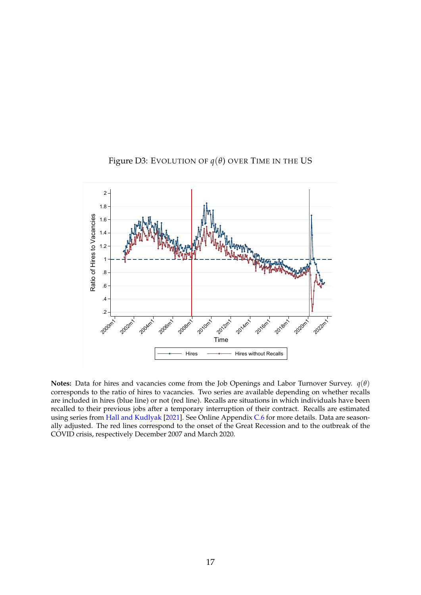<span id="page-18-0"></span>

#### Figure D3: EVOLUTION OF  $q(\theta)$  OVER TIME IN THE US

**Notes:** Data for hires and vacancies come from the Job Openings and Labor Turnover Survey. *q*(*θ*) corresponds to the ratio of hires to vacancies. Two series are available depending on whether recalls are included in hires (blue line) or not (red line). Recalls are situations in which individuals have been recalled to their previous jobs after a temporary interruption of their contract. Recalls are estimated using series from [Hall and Kudlyak](#page-24-6) [\[2021\]](#page-24-6). See Online Appendix [C.6](#page-11-1) for more details. Data are seasonally adjusted. The red lines correspond to the onset of the Great Recession and to the outbreak of the COVID crisis, respectively December 2007 and March 2020.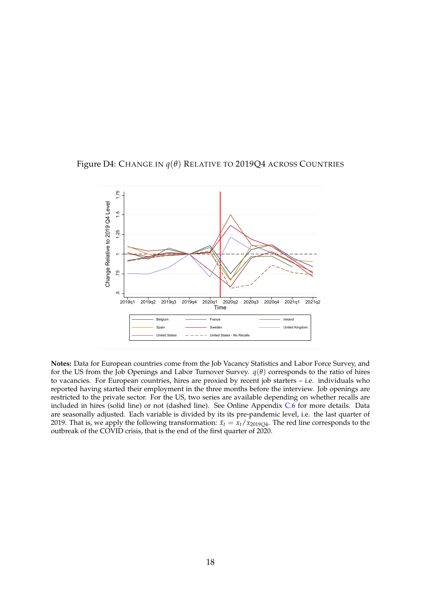<span id="page-19-0"></span>



**Notes:** Data for European countries come from the Job Vacancy Statistics and Labor Force Survey, and for the US from the Job Openings and Labor Turnover Survey.  $q(\theta)$  corresponds to the ratio of hires to vacancies. For European countries, hires are proxied by recent job starters – i.e. individuals who reported having started their employment in the three months before the interview. Job openings are restricted to the private sector. For the US, two series are available depending on whether recalls are included in hires (solid line) or not (dashed line). See Online Appendix [C.6](#page-11-1) for more details. Data are seasonally adjusted. Each variable is divided by its its pre-pandemic level, i.e. the last quarter of 2019. That is, we apply the following transformation:  $\tilde{x}_t = x_t/x_{2019Q4}$ . The red line corresponds to the outbreak of the COVID crisis, that is the end of the first quarter of 2020.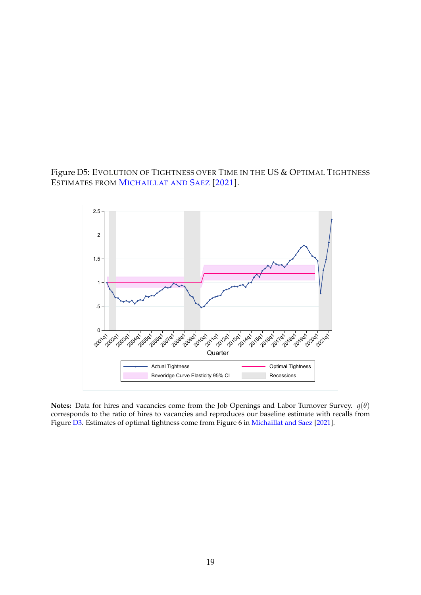#### Figure D5: EVOLUTION OF TIGHTNESS OVER TIME IN THE US & OPTIMAL TIGHTNESS ESTIMATES FROM M[ICHAILLAT AND](#page-24-7) SAEZ [\[2021\]](#page-24-7).



**Notes:** Data for hires and vacancies come from the Job Openings and Labor Turnover Survey. *q*(*θ*) corresponds to the ratio of hires to vacancies and reproduces our baseline estimate with recalls from Figure [D3.](#page-18-0) Estimates of optimal tightness come from Figure 6 in [Michaillat and Saez](#page-24-7) [\[2021\]](#page-24-7).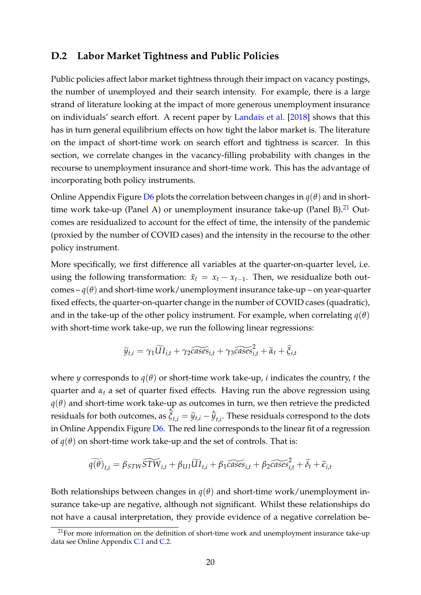#### <span id="page-21-0"></span>**D.2 Labor Market Tightness and Public Policies**

Public policies affect labor market tightness through their impact on vacancy postings, the number of unemployed and their search intensity. For example, there is a large strand of literature looking at the impact of more generous unemployment insurance on individuals' search effort. A recent paper by [Landais et al.](#page-24-8) [\[2018\]](#page-24-8) shows that this has in turn general equilibrium effects on how tight the labor market is. The literature on the impact of short-time work on search effort and tightness is scarcer. In this section, we correlate changes in the vacancy-filling probability with changes in the recourse to unemployment insurance and short-time work. This has the advantage of incorporating both policy instruments.

Online Appendix Figure [D6](#page-23-0) plots the correlation between changes in  $q(\theta)$  and in short-time work take-up (Panel A) or unemployment insurance take-up (Panel B).<sup>[21](#page-21-1)</sup> Outcomes are residualized to account for the effect of time, the intensity of the pandemic (proxied by the number of COVID cases) and the intensity in the recourse to the other policy instrument.

More specifically, we first difference all variables at the quarter-on-quarter level, i.e. using the following transformation:  $\tilde{x}_t = x_t - x_{t-1}$ . Then, we residualize both outcomes –  $q(\theta)$  and short-time work/unemployment insurance take-up – on year-quarter fixed effects, the quarter-on-quarter change in the number of COVID cases (quadratic), and in the take-up of the other policy instrument. For example, when correlating  $q(\theta)$ with short-time work take-up, we run the following linear regressions:

$$
\widetilde{y}_{t,i} = \gamma_1 \widetilde{U} I_{i,t} + \gamma_2 \widetilde{cases}_{i,t} + \gamma_3 \widetilde{cases}_{i,t}^2 + \widetilde{\alpha}_t + \widetilde{\xi}_{i,t}
$$

where *y* corresponds to  $q(\theta)$  or short-time work take-up, *i* indicates the country, *t* the quarter and  $\alpha_t$  a set of quarter fixed effects. Having run the above regression using  $q(\theta)$  and short-time work take-up as outcomes in turn, we then retrieve the predicted residuals for both outcomes, as  $\hat{\tilde{\zeta}}_{t,i} = \tilde{y}_{t,i} - \hat{\tilde{y}}_{t,i}$ . These residuals correspond to the dots in Online Appendix Figure  $D_6$ . The red line corresponds to the linear fit of a regression of  $q(\theta)$  on short-time work take-up and the set of controls. That is:

$$
\widetilde{q(\theta)}_{t,i} = \beta_{STW}\widetilde{STW}_{i,t} + \beta_{UI}\widetilde{UI}_{t,i} + \beta_1 \widetilde{cases}_{i,t} + \beta_2 \widetilde{cases}_{i,t} + \widetilde{\delta}_t + \widetilde{\epsilon}_{i,t}
$$

Both relationships between changes in  $q(\theta)$  and short-time work/unemployment insurance take-up are negative, although not significant. Whilst these relationships do not have a causal interpretation, they provide evidence of a negative correlation be-

<span id="page-21-1"></span> $21$  For more information on the definition of short-time work and unemployment insurance take-up data see Online Appendix [C.1](#page-9-1) and [C.2.](#page-9-2)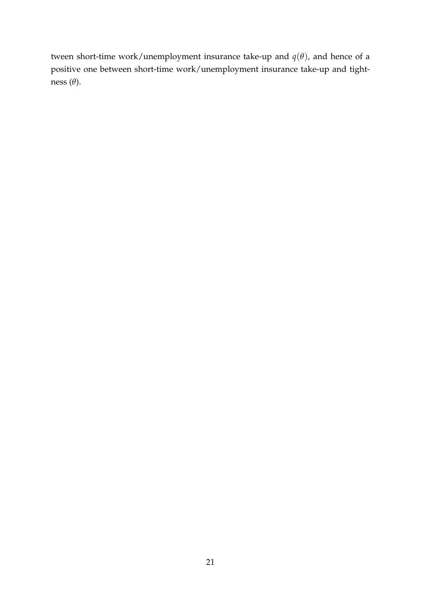tween short-time work/unemployment insurance take-up and  $q(\theta)$ , and hence of a positive one between short-time work/unemployment insurance take-up and tightness (*θ*).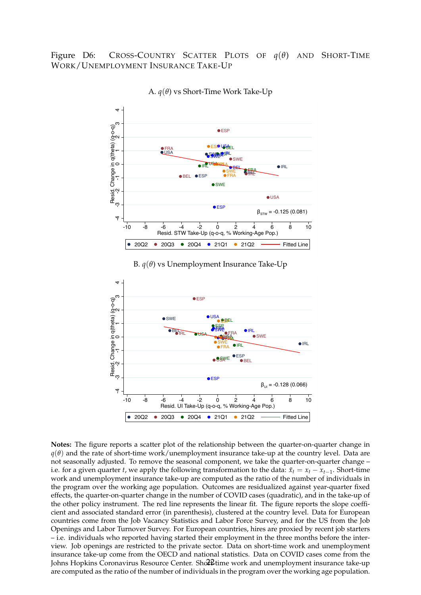<span id="page-23-0"></span>Figure D6: CROSS-COUNTRY SCATTER PLOTS OF *q*(*θ*) AND SHORT-TIME WORK/UNEMPLOYMENT INSURANCE TAKE-UP



A. *q*(*θ*) vs Short-Time Work Take-Up

B. *q*(*θ*) vs Unemployment Insurance Take-Up



**Notes:** The figure reports a scatter plot of the relationship between the quarter-on-quarter change in  $q(\theta)$  and the rate of short-time work/unemployment insurance take-up at the country level. Data are not seasonally adjusted. To remove the seasonal component, we take the quarter-on-quarter change – i.e. for a given quarter *t*, we apply the following transformation to the data:  $\tilde{x}_t = x_t - x_{t-1}$ . Short-time work and unemployment insurance take-up are computed as the ratio of the number of individuals in the program over the working age population. Outcomes are residualized against year-quarter fixed effects, the quarter-on-quarter change in the number of COVID cases (quadratic), and in the take-up of the other policy instrument. The red line represents the linear fit. The figure reports the slope coefficient and associated standard error (in parenthesis), clustered at the country level. Data for European countries come from the Job Vacancy Statistics and Labor Force Survey, and for the US from the Job Openings and Labor Turnover Survey. For European countries, hires are proxied by recent job starters – i.e. individuals who reported having started their employment in the three months before the interview. Job openings are restricted to the private sector. Data on short-time work and unemployment insurance take-up come from the OECD and national statistics. Data on COVID cases come from the Johns Hopkins Coronavirus Resource Center. Sho $2$ £time work and unemployment insurance take-up are computed as the ratio of the number of individuals in the program over the working age population.